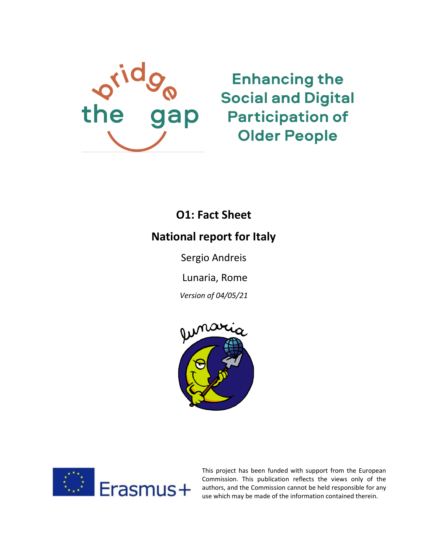

**Enhancing the Social and Digital Participation of Older People** 

# **O1: Fact Sheet**

# **National report for Italy**

Sergio Andreis

Lunaria, Rome

*Version of 04/05/21*





This project has been funded with support from the European Commission. This publication reflects the views only of the authors, and the Commission cannot be held responsible for any use which may be made of the information contained therein.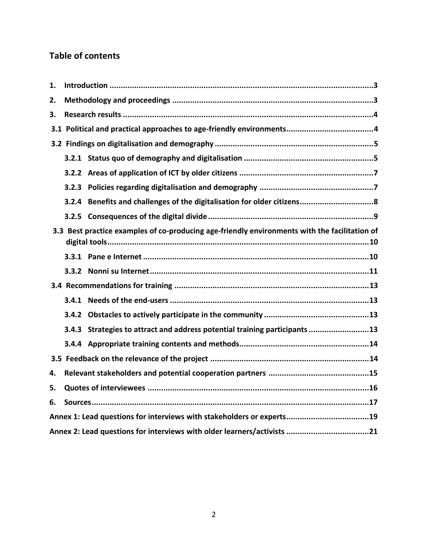# **Table of contents**

| 1.                                                                      |       |                                                                                               |  |
|-------------------------------------------------------------------------|-------|-----------------------------------------------------------------------------------------------|--|
| 2.                                                                      |       |                                                                                               |  |
| 3.                                                                      |       |                                                                                               |  |
|                                                                         |       |                                                                                               |  |
|                                                                         |       |                                                                                               |  |
|                                                                         |       |                                                                                               |  |
|                                                                         |       |                                                                                               |  |
|                                                                         | 3.2.3 |                                                                                               |  |
|                                                                         |       |                                                                                               |  |
|                                                                         |       |                                                                                               |  |
|                                                                         |       | 3.3 Best practice examples of co-producing age-friendly environments with the facilitation of |  |
|                                                                         |       |                                                                                               |  |
|                                                                         |       |                                                                                               |  |
|                                                                         |       |                                                                                               |  |
|                                                                         |       |                                                                                               |  |
|                                                                         |       |                                                                                               |  |
|                                                                         |       | 3.4.3 Strategies to attract and address potential training participants 13                    |  |
|                                                                         |       |                                                                                               |  |
|                                                                         |       |                                                                                               |  |
| 4.                                                                      |       |                                                                                               |  |
| 5.                                                                      |       |                                                                                               |  |
| 6.                                                                      |       |                                                                                               |  |
| Annex 1: Lead questions for interviews with stakeholders or experts19   |       |                                                                                               |  |
| Annex 2: Lead questions for interviews with older learners/activists 21 |       |                                                                                               |  |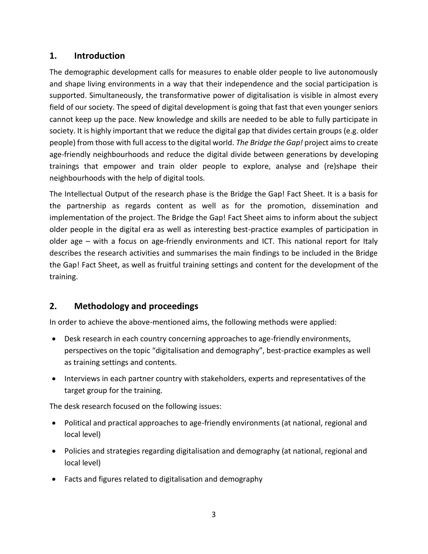# <span id="page-2-0"></span>**1. Introduction**

The demographic development calls for measures to enable older people to live autonomously and shape living environments in a way that their independence and the social participation is supported. Simultaneously, the transformative power of digitalisation is visible in almost every field of our society. The speed of digital development is going that fast that even younger seniors cannot keep up the pace. New knowledge and skills are needed to be able to fully participate in society. It is highly important that we reduce the digital gap that divides certain groups (e.g. older people) from those with full access to the digital world. *The Bridge the Gap!* project aims to create age-friendly neighbourhoods and reduce the digital divide between generations by developing trainings that empower and train older people to explore, analyse and (re)shape their neighbourhoods with the help of digital tools.

The Intellectual Output of the research phase is the Bridge the Gap! Fact Sheet. It is a basis for the partnership as regards content as well as for the promotion, dissemination and implementation of the project. The Bridge the Gap! Fact Sheet aims to inform about the subject older people in the digital era as well as interesting best-practice examples of participation in older age – with a focus on age-friendly environments and ICT. This national report for Italy describes the research activities and summarises the main findings to be included in the Bridge the Gap! Fact Sheet, as well as fruitful training settings and content for the development of the training.

# <span id="page-2-1"></span>**2. Methodology and proceedings**

In order to achieve the above-mentioned aims, the following methods were applied:

- Desk research in each country concerning approaches to age-friendly environments, perspectives on the topic "digitalisation and demography", best-practice examples as well as training settings and contents.
- Interviews in each partner country with stakeholders, experts and representatives of the target group for the training.

The desk research focused on the following issues:

- Political and practical approaches to age-friendly environments (at national, regional and local level)
- Policies and strategies regarding digitalisation and demography (at national, regional and local level)
- Facts and figures related to digitalisation and demography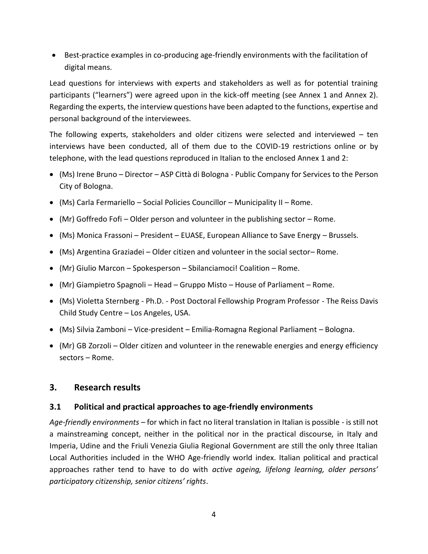• Best-practice examples in co-producing age-friendly environments with the facilitation of digital means.

Lead questions for interviews with experts and stakeholders as well as for potential training participants ("learners") were agreed upon in the kick-off meeting (see Annex 1 and Annex 2). Regarding the experts, the interview questions have been adapted to the functions, expertise and personal background of the interviewees.

The following experts, stakeholders and older citizens were selected and interviewed – ten interviews have been conducted, all of them due to the COVID-19 restrictions online or by telephone, with the lead questions reproduced in Italian to the enclosed Annex 1 and 2:

- (Ms) Irene Bruno Director ASP Città di Bologna Public Company for Services to the Person City of Bologna.
- (Ms) Carla Fermariello Social Policies Councillor Municipality II Rome.
- (Mr) Goffredo Fofi Older person and volunteer in the publishing sector Rome.
- (Ms) Monica Frassoni President EUASE, European Alliance to Save Energy Brussels.
- (Ms) Argentina Graziadei Older citizen and volunteer in the social sector– Rome.
- (Mr) Giulio Marcon Spokesperson Sbilanciamoci! Coalition Rome.
- (Mr) Giampietro Spagnoli Head Gruppo Misto House of Parliament Rome.
- (Ms) Violetta Sternberg Ph.D. Post Doctoral Fellowship Program Professor The Reiss Davis Child Study Centre – Los Angeles, USA.
- (Ms) Silvia Zamboni Vice-president Emilia-Romagna Regional Parliament Bologna.
- (Mr) GB Zorzoli Older citizen and volunteer in the renewable energies and energy efficiency sectors – Rome.

# <span id="page-3-0"></span>**3. Research results**

# <span id="page-3-1"></span>**3.1 Political and practical approaches to age-friendly environments**

*Age-friendly environments* – for which in fact no literal translation in Italian is possible - is still not a mainstreaming concept, neither in the political nor in the practical discourse, in Italy and Imperia, Udine and the Friuli Venezia Giulia Regional Government are still the only three Italian Local Authorities included in the WHO Age-friendly world index. Italian political and practical approaches rather tend to have to do with *active ageing, lifelong learning, older persons' participatory citizenship, senior citizens' rights*.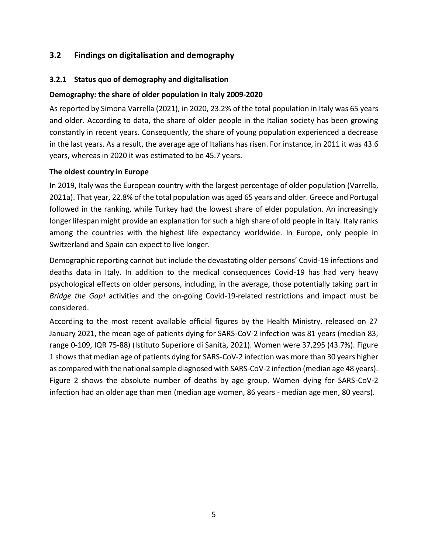# <span id="page-4-0"></span>**3.2 Findings on digitalisation and demography**

#### <span id="page-4-1"></span>**3.2.1 Status quo of demography and digitalisation**

#### **Demography: the share of older population in Italy 2009-2020**

As reported by Simona Varrella (2021), in 2020, 23.2% of the total population in Italy was 65 years and older. According to data, the share of older people in the Italian society has been growing constantly in recent years. Consequently, the share of [young population](https://www.statista.com/statistics/569201/population-distribution-by-age-group-in-italy/) experienced a decrease in the last years. As a result, the [average age of Italians](https://www.statista.com/statistics/569096/average-age-of-the-population-in-italy/) has risen. For instance, in 2011 it was 43.6 years, whereas in 2020 it was estimated to be 45.7 years.

#### **The oldest country in Europe**

In 2019, Italy was the European country with the [largest percentage of older](https://www.statista.com/statistics/1105835/share-of-elderly-population-in-europe-by-country/) population (Varrella, 2021a). That year, 22.8% of the total population was aged 65 years and older. Greece and Portugal followed in the ranking, while Turkey had the lowest share of elder population. An increasingly longer lifespan might provide an explanation for such a high share of old people in Italy. Italy ranks among the countries with the [highest life expectancy worldwide.](https://www.statista.com/statistics/236583/global-life-expectancy-by-country/) In Europe, only people in Switzerland and Spain can expect to live longer.

Demographic reporting cannot but include the devastating older persons' Covid-19 infections and deaths data in Italy. In addition to the medical consequences Covid-19 has had very heavy psychological effects on older persons, including, in the average, those potentially taking part in *Bridge the Gap!* activities and the on-going Covid-19-related restrictions and impact must be considered.

According to the most recent available official figures by the Health Ministry, released on 27 January 2021, the mean age of patients dying for SARS-CoV-2 infection was 81 years (median 83, range 0-109, IQR 75-88) (Istituto Superiore di Sanità, 2021). Women were 37,295 (43.7%). Figure 1 shows that median age of patients dying for SARS-CoV-2 infection was more than 30 years higher as compared with the national sample diagnosed with SARS-CoV-2 infection (median age 48 years). Figure 2 shows the absolute number of deaths by age group. Women dying for SARS-CoV-2 infection had an older age than men (median age women, 86 years - median age men, 80 years).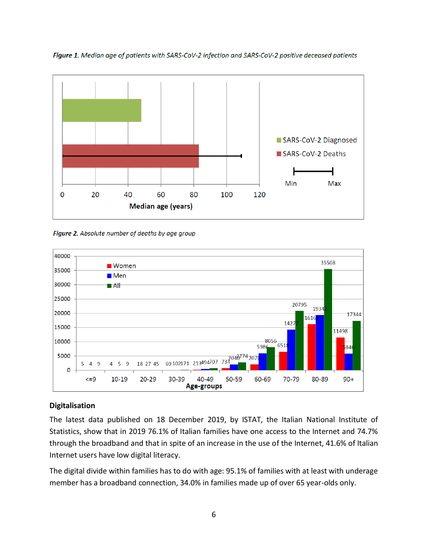

Figure 1. Median age of patients with SARS-CoV-2 infection and SARS-CoV-2 positive deceased patients

Figure 2. Absolute number of deaths by age group



#### **Digitalisation**

The latest data published on 18 December 2019, by ISTAT, the Italian National Institute of Statistics, show that in 2019 76.1% of Italian families have one access to the Internet and 74.7% through the broadband and that in spite of an increase in the use of the Internet, 41.6% of Italian Internet users have low digital literacy.

The digital divide within families has to do with age: 95.1% of families with at least with underage member has a broadband connection, 34.0% in families made up of over 65 year-olds only.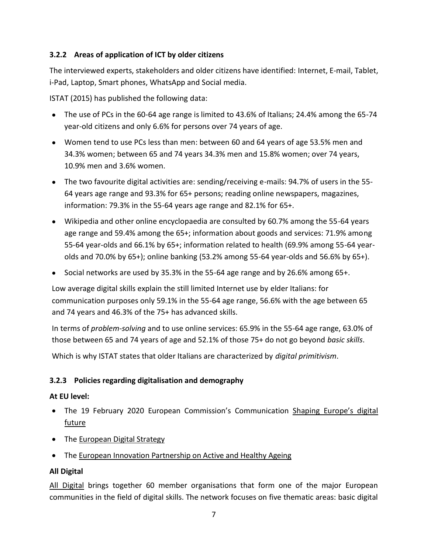# <span id="page-6-0"></span>**3.2.2 Areas of application of ICT by older citizens**

The interviewed experts, stakeholders and older citizens have identified: Internet, E-mail, Tablet, i-Pad, Laptop, Smart phones, WhatsApp and Social media.

ISTAT (2015) has published the following data:

- The use of PCs in the 60-64 age range is limited to 43.6% of Italians; 24.4% among the 65-74 year-old citizens and only 6.6% for persons over 74 years of age.
- Women tend to use PCs less than men: between 60 and 64 years of age 53.5% men and 34.3% women; between 65 and 74 years 34.3% men and 15.8% women; over 74 years, 10.9% men and 3.6% women.
- The two favourite digital activities are: sending/receiving e-mails: 94.7% of users in the 55- 64 years age range and 93.3% for 65+ persons; reading online newspapers, magazines, information: 79.3% in the 55-64 years age range and 82.1% for 65+.
- Wikipedia and other online encyclopaedia are consulted by 60.7% among the 55-64 years age range and 59.4% among the 65+; information about goods and services: 71.9% among 55-64 year-olds and 66.1% by 65+; information related to health (69.9% among 55-64 yearolds and 70.0% by 65+); online banking (53.2% among 55-64 year-olds and 56.6% by 65+).
- Social networks are used by 35.3% in the 55-64 age range and by 26.6% among 65+.

Low average digital skills explain the still limited Internet use by elder Italians: for communication purposes only 59.1% in the 55-64 age range, 56.6% with the age between 65 and 74 years and 46.3% of the 75+ has advanced skills.

In terms of *problem-solving* and to use online services: 65.9% in the 55-64 age range, 63.0% of those between 65 and 74 years of age and 52.1% of those 75+ do not go beyond *basic skills*.

Which is why ISTAT states that older Italians are characterized by *digital primitivism*.

### <span id="page-6-1"></span>**3.2.3 Policies regarding digitalisation and demography**

### **At EU level:**

- The 19 February 2020 European Commission's [Communication](https://ec.europa.eu/info/files/communication-shaping-europes-digital-future_en) [Shaping Europe's digital](https://ec.europa.eu/info/files/communication-shaping-europes-digital-future_en)  [future](https://ec.europa.eu/info/files/communication-shaping-europes-digital-future_en)
- The **European Digital Strategy**
- The [European Innovation Partnership on Active and Healthy Ageing](https://ec.europa.eu/eip/ageing/about-the-partnership_en.html)

### **[All](https://all-digital.org/) Digital**

All [Digital](https://all-digital.org/) brings together 60 member organisations that form one of the major European communities in the field of digital skills. The network focuses on five thematic areas: basic digital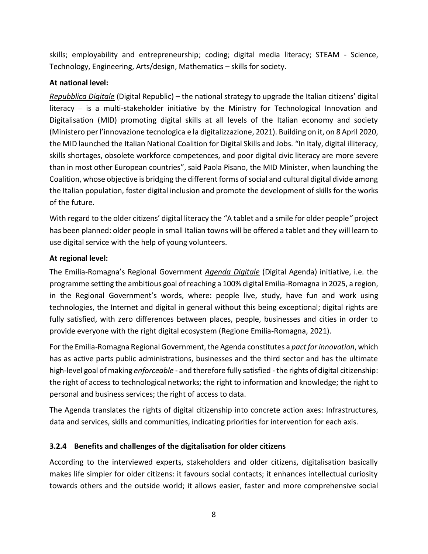skills; employability and entrepreneurship; coding; digital media literacy; STEAM - Science, Technology, Engineering, Arts/design, Mathematics – skills for society.

# **At national level:**

*[Repubblica Digitale](https://repubblicadigitale.innovazione.gov.it/it/)* (Digital Republic) – the national strategy to upgrade the Italian citizens' digital literacy – is a multi-stakeholder initiative by the Ministry for Technological Innovation and Digitalisation (MID) promoting digital skills at all levels of the Italian economy and society (Ministero per l'innovazione tecnologica e la digitalizzazione, 2021). Building on it, on 8 April 2020, the MID launched the Italian National Coalition for Digital Skills and Jobs. "In Italy, digital illiteracy, skills shortages, obsolete workforce competences, and poor digital civic literacy are more severe than in most other European countries", said Paola Pisano, the MID Minister, when launching the Coalition, whose objective is bridging the different forms of social and cultural digital divide among the Italian population, foster digital inclusion and promote the development of skills for the works of the future.

With regard to the older citizens' digital literacy the "A tablet and a smile for older people*"* project has been planned: older people in small Italian towns will be offered a tablet and they will learn to use digital service with the help of young volunteers.

# **At regional level:**

The Emilia-Romagna's Regional Government *[Agenda Digitale](https://digitale.regione.emilia-romagna.it/)* (Digital Agenda) initiative, i.e. the programme setting the ambitious goal of reaching a 100% digital Emilia-Romagna in 2025, a region, in the Regional Government's words, where: people live, study, have fun and work using technologies, the Internet and digital in general without this being exceptional; digital rights are fully satisfied, with zero differences between places, people, businesses and cities in order to provide everyone with the right digital ecosystem (Regione Emilia-Romagna, 2021).

For the Emilia-Romagna Regional Government, the Agenda constitutes a *pact for innovation*, which has as active parts public administrations, businesses and the third sector and has the ultimate high-level goal of making *enforceable* - and therefore fully satisfied - the rights of digital citizenship: the right of access to technological networks; the right to information and knowledge; the right to personal and business services; the right of access to data.

The Agenda translates the rights of digital citizenship into concrete action axes: Infrastructures, data and services, skills and communities, indicating priorities for intervention for each axis.

# <span id="page-7-0"></span>**3.2.4 Benefits and challenges of the digitalisation for older citizens**

According to the interviewed experts, stakeholders and older citizens, digitalisation basically makes life simpler for older citizens: it favours social contacts; it enhances intellectual curiosity towards others and the outside world; it allows easier, faster and more comprehensive social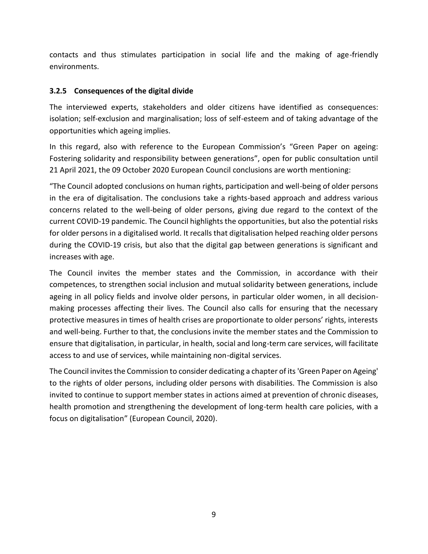contacts and thus stimulates participation in social life and the making of age-friendly environments.

# <span id="page-8-0"></span>**3.2.5 Consequences of the digital divide**

The interviewed experts, stakeholders and older citizens have identified as consequences: isolation; self-exclusion and marginalisation; loss of self-esteem and of taking advantage of the opportunities which ageing implies.

In this regard, also with reference to the European Commission's "Green Paper on ageing: Fostering solidarity and responsibility between generations", open for public consultation until 21 April 2021, the 09 October 2020 European Council conclusions are worth mentioning:

"The Council adopted conclusions on human rights, participation and well-being of older persons in the era of digitalisation. The conclusions take a rights-based approach and address various concerns related to the well-being of older persons, giving due regard to the context of the current COVID-19 pandemic. The Council highlights the opportunities, but also the potential risks for older persons in a digitalised world. It recalls that digitalisation helped reaching older persons during the COVID-19 crisis, but also that the digital gap between generations is significant and increases with age.

The Council invites the member states and the Commission, in accordance with their competences, to strengthen social inclusion and mutual solidarity between generations, include ageing in all policy fields and involve older persons, in particular older women, in all decisionmaking processes affecting their lives. The Council also calls for ensuring that the necessary protective measures in times of health crises are proportionate to older persons' rights, interests and well-being. Further to that, the conclusions invite the member states and the Commission to ensure that digitalisation, in particular, in health, social and long-term care services, will facilitate access to and use of services, while maintaining non-digital services.

<span id="page-8-1"></span>The Council invites the Commission to consider dedicating a chapter of its 'Green Paper on Ageing' to the rights of older persons, including older persons with disabilities. The Commission is also invited to continue to support member states in actions aimed at prevention of chronic diseases, health promotion and strengthening the development of long-term health care policies, with a focus on digitalisation" (European Council, 2020).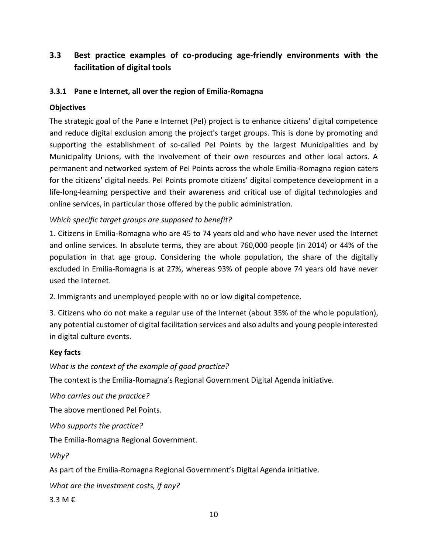# **3.3 Best practice examples of co-producing age-friendly environments with the facilitation of digital tools**

### <span id="page-9-0"></span>**3.3.1 Pane e Internet, all over the region of Emilia-Romagna**

### **Objectives**

The strategic goal of the Pane e Internet (PeI) project is to enhance citizens' digital competence and reduce digital exclusion among the project's target groups. This is done by promoting and supporting the establishment of so-called PeI Points by the largest Municipalities and by Municipality Unions, with the involvement of their own resources and other local actors. A permanent and networked system of PeI Points across the whole Emilia-Romagna region caters for the citizens' digital needs. PeI Points promote citizens' digital competence development in a life-long-learning perspective and their awareness and critical use of digital technologies and online services, in particular those offered by the public administration.

# *Which specific target groups are supposed to benefit?*

1. Citizens in Emilia-Romagna who are 45 to 74 years old and who have never used the Internet and online services. In absolute terms, they are about 760,000 people (in 2014) or 44% of the population in that age group. Considering the whole population, the share of the digitally excluded in Emilia-Romagna is at 27%, whereas 93% of people above 74 years old have never used the Internet.

2. Immigrants and unemployed people with no or low digital competence.

3. Citizens who do not make a regular use of the Internet (about 35% of the whole population), any potential customer of digital facilitation services and also adults and young people interested in digital culture events.

### **Key facts**

*What is the context of the example of good practice?*

The context is the Emilia-Romagna's Regional Government Digital Agenda initiative.

*Who carries out the practice?* 

The above mentioned PeI Points.

*Who supports the practice?* 

The Emilia-Romagna Regional Government.

*Why?* 

As part of the Emilia-Romagna Regional Government's Digital Agenda initiative.

*What are the investment costs, if any?* 

3.3 M €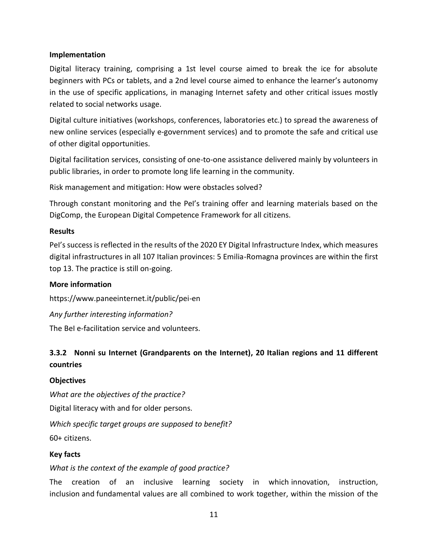#### **Implementation**

Digital literacy training, comprising a 1st level course aimed to break the ice for absolute beginners with PCs or tablets, and a 2nd level course aimed to enhance the learner's autonomy in the use of specific applications, in managing Internet safety and other critical issues mostly related to social networks usage.

Digital culture initiatives (workshops, conferences, laboratories etc.) to spread the awareness of new online services (especially e-government services) and to promote the safe and critical use of other digital opportunities.

Digital facilitation services, consisting of one-to-one assistance delivered mainly by volunteers in public libraries, in order to promote long life learning in the community.

Risk management and mitigation: How were obstacles solved?

Through constant monitoring and the PeI's training offer and learning materials based on the DigComp, the European Digital Competence Framework for all citizens.

#### **Results**

PeI's success is reflected in the results of the 2020 EY Digital Infrastructure Index, which measures digital infrastructures in all 107 Italian provinces: 5 Emilia-Romagna provinces are within the first top 13. The practice is still on-going.

#### **More information**

<https://www.paneeinternet.it/public/pei-en>

*Any further interesting information?* 

The BeI e-facilitation service and volunteers.

# <span id="page-10-0"></span>**3.3.2 Nonni su Internet (Grandparents on the Internet), 20 Italian regions and 11 different countries**

#### **Objectives**

*What are the objectives of the practice?*

Digital literacy with and for older persons.

*Which specific target groups are supposed to benefit?* 60+ citizens.

#### **Key facts**

*What is the context of the example of good practice?*

The creation of an inclusive learning society in which innovation, instruction, inclusion and fundamental values are all combined to work together, within the mission of the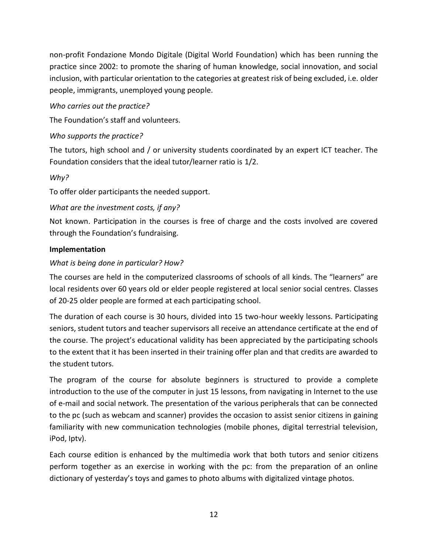non-profit Fondazione Mondo Digitale (Digital World Foundation) which has been running the practice since 2002: to promote the sharing of human knowledge, social innovation, and social inclusion, with particular orientation to the categories at greatest risk of being excluded, i.e. older people, immigrants, unemployed young people.

# *Who carries out the practice?*

The Foundation's staff and volunteers.

# *Who supports the practice?*

The tutors, high school and / or university students coordinated by an expert ICT teacher. The Foundation considers that the ideal tutor/learner ratio is 1/2.

### *Why?*

To offer older participants the needed support.

# *What are the investment costs, if any?*

Not known. Participation in the courses is free of charge and the costs involved are covered through the Foundation's fundraising.

### **Implementation**

# *What is being done in particular? How?*

The courses are held in the computerized classrooms of schools of all kinds. The "learners" are local residents over 60 years old or elder people registered at local senior social centres. Classes of 20-25 older people are formed at each participating school.

The duration of each course is 30 hours, divided into 15 two-hour weekly lessons. Participating seniors, student tutors and teacher supervisors all receive an attendance certificate at the end of the course. The project's educational validity has been appreciated by the participating schools to the extent that it has been inserted in their training offer plan and that credits are awarded to the student tutors.

The program of the course for absolute beginners is structured to provide a complete introduction to the use of the computer in just 15 lessons, from navigating in Internet to the use of e-mail and social network. The presentation of the various peripherals that can be connected to the pc (such as webcam and scanner) provides the occasion to assist senior citizens in gaining familiarity with new communication technologies (mobile phones, digital terrestrial television, iPod, Iptv).

Each course edition is enhanced by the multimedia work that both tutors and senior citizens perform together as an exercise in working with the pc: from the preparation of an online dictionary of yesterday's toys and games to photo albums with digitalized vintage photos.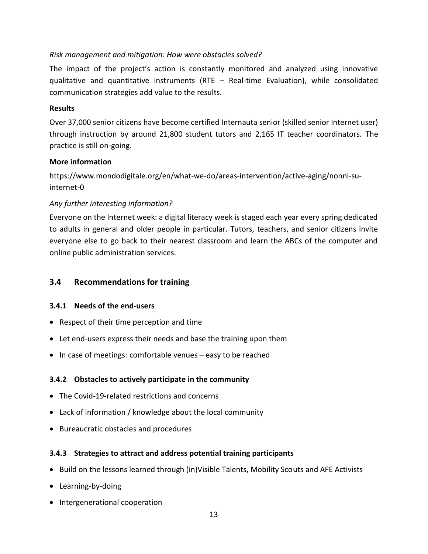#### *Risk management and mitigation: How were obstacles solved?*

The impact of the project's action is constantly monitored and analyzed using innovative qualitative and quantitative instruments (RTE – Real-time Evaluation), while consolidated communication strategies add value to the results.

#### **Results**

Over 37,000 senior citizens have become certified Internauta senior (skilled senior Internet user) through instruction by around 21,800 student tutors and 2,165 IT teacher coordinators. The practice is still on-going.

#### **More information**

https://www.mondodigitale.org/en/what-we-do/areas-intervention/active-aging/nonni-suinternet-0

# *Any further interesting information?*

Everyone on the Internet week: a digital literacy week is staged each year every spring dedicated to adults in general and older people in particular. Tutors, teachers, and senior citizens invite everyone else to go back to their nearest classroom and learn the ABCs of the computer and online public administration services.

### <span id="page-12-0"></span>**3.4 Recommendations for training**

### <span id="page-12-1"></span>**3.4.1 Needs of the end-users**

- Respect of their time perception and time
- Let end-users express their needs and base the training upon them
- In case of meetings: comfortable venues easy to be reached

### <span id="page-12-2"></span>**3.4.2 Obstacles to actively participate in the community**

- The Covid-19-related restrictions and concerns
- Lack of information / knowledge about the local community
- Bureaucratic obstacles and procedures

#### <span id="page-12-3"></span>**3.4.3 Strategies to attract and address potential training participants**

- Build on the lessons learned through (in)Visible Talents, Mobility Scouts and AFE Activists
- Learning-by-doing
- Intergenerational cooperation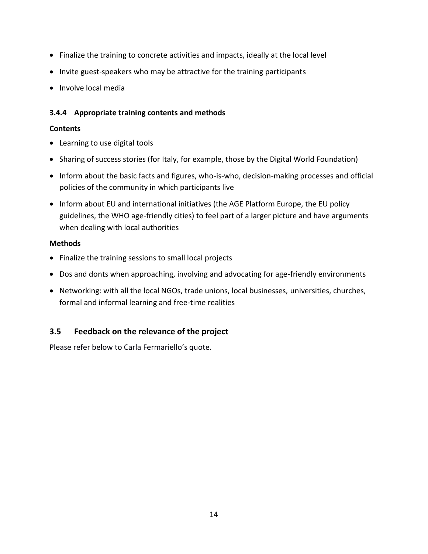- Finalize the training to concrete activities and impacts, ideally at the local level
- Invite guest-speakers who may be attractive for the training participants
- Involve local media

# <span id="page-13-0"></span>**3.4.4 Appropriate training contents and methods**

# **Contents**

- Learning to use digital tools
- Sharing of success stories (for Italy, for example, those by the Digital World Foundation)
- Inform about the basic facts and figures, who-is-who, decision-making processes and official policies of the community in which participants live
- Inform about EU and international initiatives (the AGE Platform Europe, the EU policy guidelines, the WHO age-friendly cities) to feel part of a larger picture and have arguments when dealing with local authorities

### **Methods**

- Finalize the training sessions to small local projects
- Dos and donts when approaching, involving and advocating for age-friendly environments
- Networking: with all the local NGOs, trade unions, local businesses, universities, churches, formal and informal learning and free-time realities

# <span id="page-13-1"></span>**3.5 Feedback on the relevance of the project**

<span id="page-13-2"></span>Please refer below to Carla Fermariello's quote.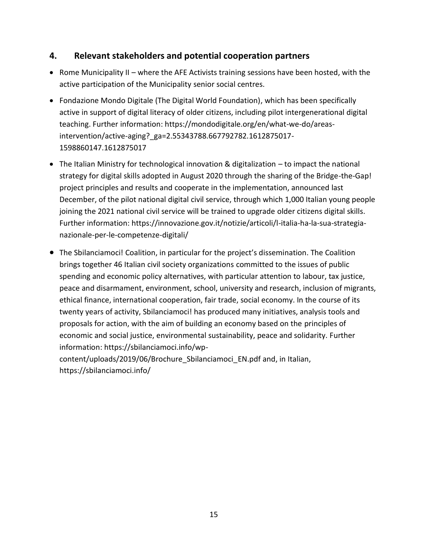# **4. Relevant stakeholders and potential cooperation partners**

- Rome Municipality II where the AFE Activists training sessions have been hosted, with the active participation of the Municipality senior social centres.
- Fondazione Mondo Digitale (The Digital World Foundation), which has been specifically active in support of digital literacy of older citizens, including pilot intergenerational digital teaching. Further information: [https://mondodigitale.org/en/what-we-do/areas](https://mondodigitale.org/en/what-we-do/areas-intervention/active-aging?_ga=2.55343788.667792782.1612875017-1598860147.1612875017)[intervention/active-aging?\\_ga=2.55343788.667792782.1612875017-](https://mondodigitale.org/en/what-we-do/areas-intervention/active-aging?_ga=2.55343788.667792782.1612875017-1598860147.1612875017) [1598860147.1612875017](https://mondodigitale.org/en/what-we-do/areas-intervention/active-aging?_ga=2.55343788.667792782.1612875017-1598860147.1612875017)
- The Italian Ministry for technological innovation & digitalization to impact the national strategy for digital skills adopted in August 2020 through the sharing of the Bridge-the-Gap! project principles and results and cooperate in the implementation, announced last December, of the pilot national digital civil service, through which 1,000 Italian young people joining the 2021 national civil service will be trained to upgrade older citizens digital skills. Further information: [https://innovazione.gov.it/notizie/articoli/l-italia-ha-la-sua-strategia](https://innovazione.gov.it/notizie/articoli/l-italia-ha-la-sua-strategia-nazionale-per-le-competenze-digitali/)[nazionale-per-le-competenze-digitali/](https://innovazione.gov.it/notizie/articoli/l-italia-ha-la-sua-strategia-nazionale-per-le-competenze-digitali/)
- The Sbilanciamoci! Coalition, in particular for the project's dissemination. The Coalition brings together 46 Italian civil society organizations committed to the issues of public spending and economic policy alternatives, with particular attention to labour, tax justice, peace and disarmament, environment, school, university and research, inclusion of migrants, ethical finance, international cooperation, fair trade, social economy. In the course of its twenty years of activity, Sbilanciamoci! has produced many initiatives, analysis tools and proposals for action, with the aim of building an economy based on the principles of economic and social justice, environmental sustainability, peace and solidarity. Further information: [https://sbilanciamoci.info/wp-](https://sbilanciamoci.info/wp-content/uploads/2019/06/Brochure_Sbilanciamoci_EN.pdf)

<span id="page-14-0"></span>[content/uploads/2019/06/Brochure\\_Sbilanciamoci\\_EN.pdf](https://sbilanciamoci.info/wp-content/uploads/2019/06/Brochure_Sbilanciamoci_EN.pdf) and, in Italian, <https://sbilanciamoci.info/>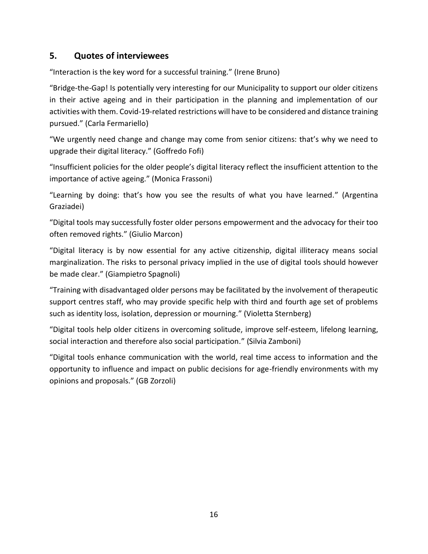# **5. Quotes of interviewees**

"Interaction is the key word for a successful training." (Irene Bruno)

"Bridge-the-Gap! Is potentially very interesting for our Municipality to support our older citizens in their active ageing and in their participation in the planning and implementation of our activities with them. Covid-19-related restrictions will have to be considered and distance training pursued." (Carla Fermariello)

"We urgently need change and change may come from senior citizens: that's why we need to upgrade their digital literacy." (Goffredo Fofi)

"Insufficient policies for the older people's digital literacy reflect the insufficient attention to the importance of active ageing." (Monica Frassoni)

"Learning by doing: that's how you see the results of what you have learned." (Argentina Graziadei)

"Digital tools may successfully foster older persons empowerment and the advocacy for their too often removed rights." (Giulio Marcon)

"Digital literacy is by now essential for any active citizenship, digital illiteracy means social marginalization. The risks to personal privacy implied in the use of digital tools should however be made clear." (Giampietro Spagnoli)

"Training with disadvantaged older persons may be facilitated by the involvement of therapeutic support centres staff, who may provide specific help with third and fourth age set of problems such as identity loss, isolation, depression or mourning." (Violetta Sternberg)

"Digital tools help older citizens in overcoming solitude, improve self-esteem, lifelong learning, social interaction and therefore also social participation." (Silvia Zamboni)

<span id="page-15-0"></span>"Digital tools enhance communication with the world, real time access to information and the opportunity to influence and impact on public decisions for age-friendly environments with my opinions and proposals." (GB Zorzoli)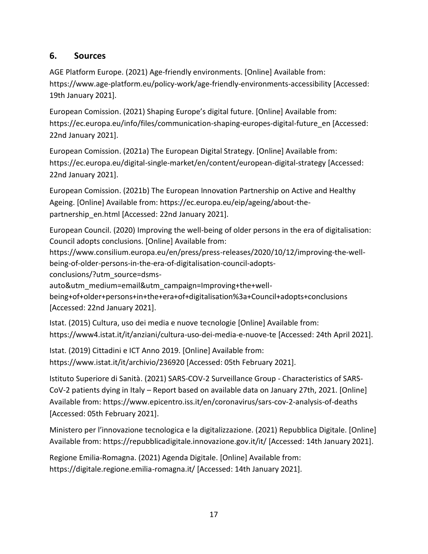# **6. Sources**

AGE Platform Europe. (2021) Age-friendly environments. [Online] Available from: <https://www.age-platform.eu/policy-work/age-friendly-environments-accessibility> [Accessed: 19th January 2021].

European Comission. (2021) Shaping Europe's digital future. [Online] Available from: [https://ec.europa.eu/info/files/communication-shaping-europes-digital-future\\_en](https://ec.europa.eu/info/files/communication-shaping-europes-digital-future_en) [Accessed: 22nd January 2021].

European Comission. (2021a) The European Digital Strategy. [Online] Available from: <https://ec.europa.eu/digital-single-market/en/content/european-digital-strategy> [Accessed: 22nd January 2021].

European Comission. (2021b) The European Innovation Partnership on Active and Healthy Ageing. [Online] Available from: [https://ec.europa.eu/eip/ageing/about-the](https://ec.europa.eu/eip/ageing/about-the-partnership_en.html)[partnership\\_en.html](https://ec.europa.eu/eip/ageing/about-the-partnership_en.html) [Accessed: 22nd January 2021].

European Council. (2020) Improving the well-being of older persons in the era of digitalisation: Council adopts conclusions. [Online] Available from:

[https://www.consilium.europa.eu/en/press/press-releases/2020/10/12/improving-the-well](https://ec.europa.eu/eip/ageing/about-the-partnership_en.html)[being-of-older-persons-in-the-era-of-digitalisation-council-adopts-](https://ec.europa.eu/eip/ageing/about-the-partnership_en.html)

[conclusions/?utm\\_source=dsms-](https://ec.europa.eu/eip/ageing/about-the-partnership_en.html)

[auto&utm\\_medium=email&utm\\_campaign=Improving+the+well-](https://ec.europa.eu/eip/ageing/about-the-partnership_en.html)

[being+of+older+persons+in+the+era+of+digitalisation%3a+Council+adopts+conclusions](https://ec.europa.eu/eip/ageing/about-the-partnership_en.html) [Accessed: 22nd January 2021].

Istat. (2015) Cultura, uso dei media e nuove tecnologie [Online] Available from: <https://www4.istat.it/it/anziani/cultura-uso-dei-media-e-nuove-te> [Accessed: 24th April 2021].

Istat. (2019) Cittadini e ICT Anno 2019. [Online] Available from:

<https://www.istat.it/it/archivio/236920> [Accessed: 05th February 2021].

Istituto Superiore di Sanità. (2021) SARS-COV-2 Surveillance Group - Characteristics of SARS-CoV-2 patients dying in Italy – Report based on available data on January 27th, 2021. [Online] Available from: <https://www.epicentro.iss.it/en/coronavirus/sars-cov-2-analysis-of-deaths> [Accessed: 05th February 2021].

Ministero per l'innovazione tecnologica e la digitalizzazione. (2021) Repubblica Digitale. [Online] Available from:<https://repubblicadigitale.innovazione.gov.it/it/> [Accessed: 14th January 2021].

Regione Emilia-Romagna. (2021) Agenda Digitale. [Online] Available from: <https://digitale.regione.emilia-romagna.it/> [Accessed: 14th January 2021].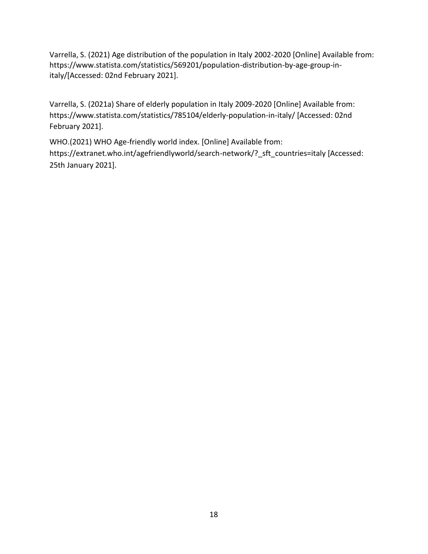Varrella, S. (2021) Age distribution of the population in Italy 2002-2020 [Online] Available from: https://www.statista.com/statistics/569201/population-distribution-by-age-group-initaly/[Accessed: 02nd February 2021].

Varrella, S. (2021a) Share of elderly population in Italy 2009-2020 [Online] Available from: <https://www.statista.com/statistics/785104/elderly-population-in-italy/> [Accessed: 02nd February 2021].

WHO.(2021) WHO Age-friendly world index. [Online] Available from: [https://extranet.who.int/agefriendlyworld/search-network/?\\_sft\\_countries=italy](https://extranet.who.int/agefriendlyworld/search-network/?_sft_countries=italy) [Accessed: 25th January 2021].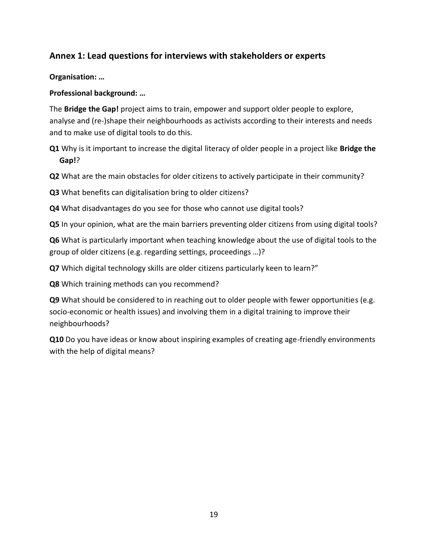# <span id="page-18-0"></span>**Annex 1: Lead questions for interviews with stakeholders or experts**

**Organisation: …**

**Professional background: …**

The **Bridge the Gap!** project aims to train, empower and support older people to explore, analyse and (re-)shape their neighbourhoods as activists according to their interests and needs and to make use of digital tools to do this.

**Q1** Why is it important to increase the digital literacy of older people in a project like **Bridge the Gap!**?

**Q2** What are the main obstacles for older citizens to actively participate in their community?

**Q3** What benefits can digitalisation bring to older citizens?

**Q4** What disadvantages do you see for those who cannot use digital tools?

**Q5** In your opinion, what are the main barriers preventing older citizens from using digital tools?

**Q6** What is particularly important when teaching knowledge about the use of digital tools to the group of older citizens (e.g. regarding settings, proceedings …)?

**Q7** Which digital technology skills are older citizens particularly keen to learn?"

**Q8** Which training methods can you recommend?

**Q9** What should be considered to in reaching out to older people with fewer opportunities (e.g. socio-economic or health issues) and involving them in a digital training to improve their neighbourhoods?

**Q10** Do you have ideas or know about inspiring examples of creating age-friendly environments with the help of digital means?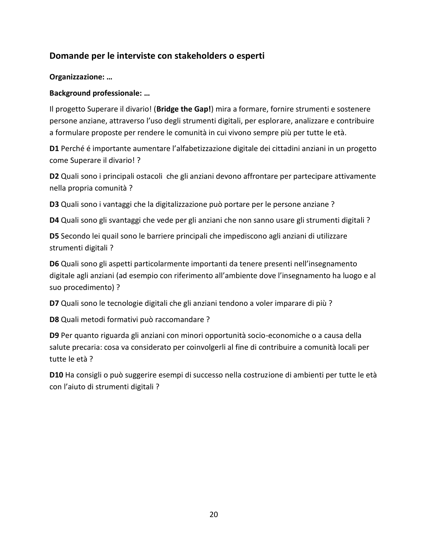# **Domande per le interviste con stakeholders o esperti**

#### **Organizzazione: …**

#### **Background professionale: …**

Il progetto Superare il divario! (**Bridge the Gap!**) mira a formare, fornire strumenti e sostenere persone anziane, attraverso l'uso degli strumenti digitali, per esplorare, analizzare e contribuire a formulare proposte per rendere le comunità in cui vivono sempre più per tutte le età.

**D1** Perché é importante aumentare l'alfabetizzazione digitale dei cittadini anziani in un progetto come Superare il divario! ?

**D2** Quali sono i principali ostacoli che gli anziani devono affrontare per partecipare attivamente nella propria comunità ?

**D3** Quali sono i vantaggi che la digitalizzazione può portare per le persone anziane ?

**D4** Quali sono gli svantaggi che vede per gli anziani che non sanno usare gli strumenti digitali ?

**D5** Secondo lei quail sono le barriere principali che impediscono agli anziani di utilizzare strumenti digitali ?

**D6** Quali sono gli aspetti particolarmente importanti da tenere presenti nell'insegnamento digitale agli anziani (ad esempio con riferimento all'ambiente dove l'insegnamento ha luogo e al suo procedimento) ?

**D7** Quali sono le tecnologie digitali che gli anziani tendono a voler imparare di più ?

**D8** Quali metodi formativi può raccomandare ?

**D9** Per quanto riguarda gli anziani con minori opportunità socio-economiche o a causa della salute precaria: cosa va considerato per coinvolgerli al fine di contribuire a comunità locali per tutte le età ?

**D10** Ha consigli o può suggerire esempi di successo nella costruzione di ambienti per tutte le età con l'aiuto di strumenti digitali ?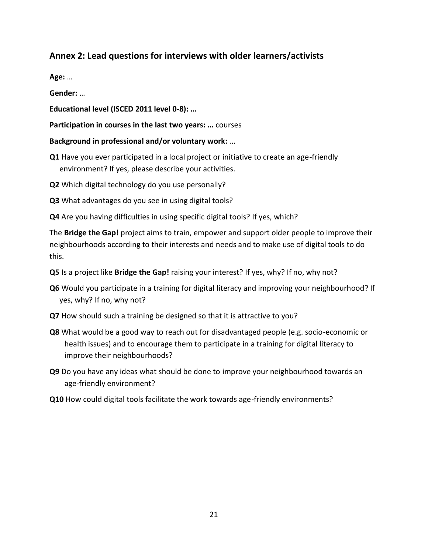# <span id="page-20-0"></span>**Annex 2: Lead questions for interviews with older learners/activists**

**Age:** …

**Gender:** …

**Educational level (ISCED 2011 level 0-8): …**

**Participation in courses in the last two years: …** courses

**Background in professional and/or voluntary work:** …

- **Q1** Have you ever participated in a local project or initiative to create an age-friendly environment? If yes, please describe your activities.
- **Q2** Which digital technology do you use personally?

**Q3** What advantages do you see in using digital tools?

**Q4** Are you having difficulties in using specific digital tools? If yes, which?

The **Bridge the Gap!** project aims to train, empower and support older people to improve their neighbourhoods according to their interests and needs and to make use of digital tools to do this.

- **Q5** Is a project like **Bridge the Gap!** raising your interest? If yes, why? If no, why not?
- **Q6** Would you participate in a training for digital literacy and improving your neighbourhood? If yes, why? If no, why not?
- **Q7** How should such a training be designed so that it is attractive to you?
- **Q8** What would be a good way to reach out for disadvantaged people (e.g. socio-economic or health issues) and to encourage them to participate in a training for digital literacy to improve their neighbourhoods?
- **Q9** Do you have any ideas what should be done to improve your neighbourhood towards an age-friendly environment?
- **Q10** How could digital tools facilitate the work towards age-friendly environments?